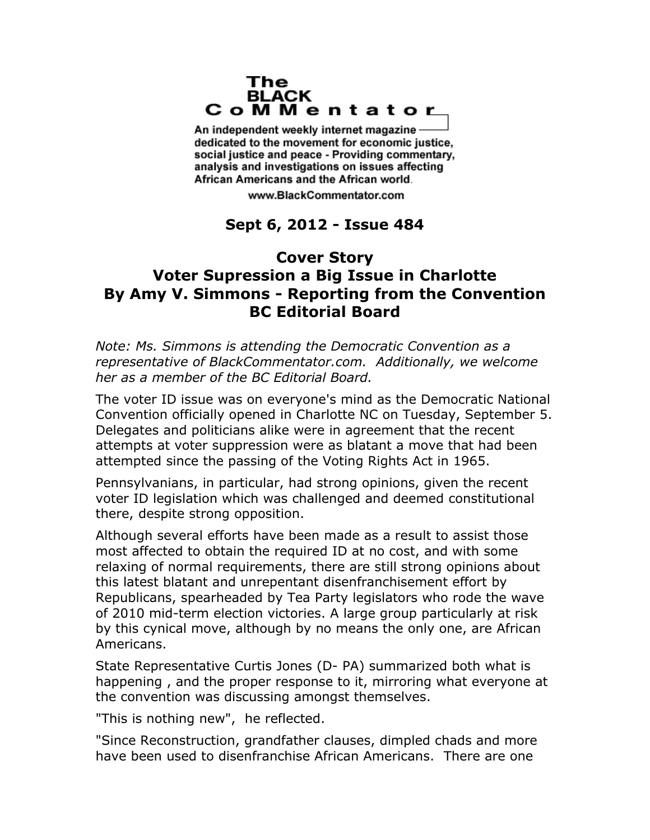## The **BLACK** CoMMentator

An independent weekly internet magazine dedicated to the movement for economic justice. social justice and peace - Providing commentary, analysis and investigations on issues affecting African Americans and the African world.

www.BlackCommentator.com

## **Sept 6, 2012 - Issue 484**

## **Cover Story Voter Supression a Big Issue in Charlotte By Amy V. Simmons - Reporting from the Convention BC Editorial Board**

*Note: Ms. Simmons is attending the Democratic Convention as a representative of BlackCommentator.com. Additionally, we welcome her as a member of the BC Editorial Board.*

The voter ID issue was on everyone's mind as the Democratic National Convention officially opened in Charlotte NC on Tuesday, September 5. Delegates and politicians alike were in agreement that the recent attempts at voter suppression were as blatant a move that had been attempted since the passing of the Voting Rights Act in 1965.

Pennsylvanians, in particular, had strong opinions, given the recent voter ID legislation which was challenged and deemed constitutional there, despite strong opposition.

Although several efforts have been made as a result to assist those most affected to obtain the required ID at no cost, and with some relaxing of normal requirements, there are still strong opinions about this latest blatant and unrepentant disenfranchisement effort by Republicans, spearheaded by Tea Party legislators who rode the wave of 2010 mid-term election victories. A large group particularly at risk by this cynical move, although by no means the only one, are African Americans.

State Representative Curtis Jones (D- PA) summarized both what is happening , and the proper response to it, mirroring what everyone at the convention was discussing amongst themselves.

"This is nothing new", he reflected.

"Since Reconstruction, grandfather clauses, dimpled chads and more have been used to disenfranchise African Americans. There are one